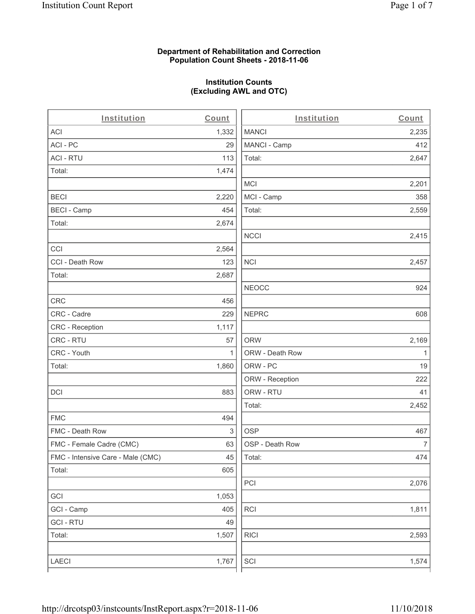#### **Department of Rehabilitation and Correction Population Count Sheets - 2018-11-06**

# **Institution Counts (Excluding AWL and OTC)**

| Institution                       | Count        | Institution     | Count        |
|-----------------------------------|--------------|-----------------|--------------|
| ACI                               | 1,332        | <b>MANCI</b>    | 2,235        |
| ACI - PC                          | 29           | MANCI - Camp    | 412          |
| <b>ACI - RTU</b>                  | 113          | Total:          | 2,647        |
| Total:                            | 1,474        |                 |              |
|                                   |              | <b>MCI</b>      | 2,201        |
| <b>BECI</b>                       | 2,220        | MCI - Camp      | 358          |
| <b>BECI - Camp</b>                | 454          | Total:          | 2,559        |
| Total:                            | 2,674        |                 |              |
|                                   |              | <b>NCCI</b>     | 2,415        |
| CCI                               | 2,564        |                 |              |
| CCI - Death Row                   | 123          | <b>NCI</b>      | 2,457        |
| Total:                            | 2,687        |                 |              |
|                                   |              | <b>NEOCC</b>    | 924          |
| CRC                               | 456          |                 |              |
| CRC - Cadre                       | 229          | <b>NEPRC</b>    | 608          |
| CRC - Reception                   | 1,117        |                 |              |
| CRC - RTU                         | 57           | <b>ORW</b>      | 2,169        |
| CRC - Youth                       | $\mathbf{1}$ | ORW - Death Row | $\mathbf{1}$ |
| Total:                            | 1,860        | ORW - PC        | 19           |
|                                   |              | ORW - Reception | 222          |
| DCI                               | 883          | ORW - RTU       | 41           |
|                                   |              | Total:          | 2,452        |
| <b>FMC</b>                        | 494          |                 |              |
| FMC - Death Row                   | 3            | <b>OSP</b>      | 467          |
| FMC - Female Cadre (CMC)          | 63           | OSP - Death Row | 7            |
| FMC - Intensive Care - Male (CMC) | 45           | Total:          | 474          |
| Total:                            | 605          |                 |              |
|                                   |              | PCI             | 2,076        |
| GCI                               | 1,053        |                 |              |
| GCI - Camp                        | 405          | RCI             | 1,811        |
| <b>GCI - RTU</b>                  | 49           |                 |              |
| Total:                            | 1,507        | <b>RICI</b>     | 2,593        |
|                                   |              |                 |              |
| LAECI                             | 1,767        | SCI             | 1,574        |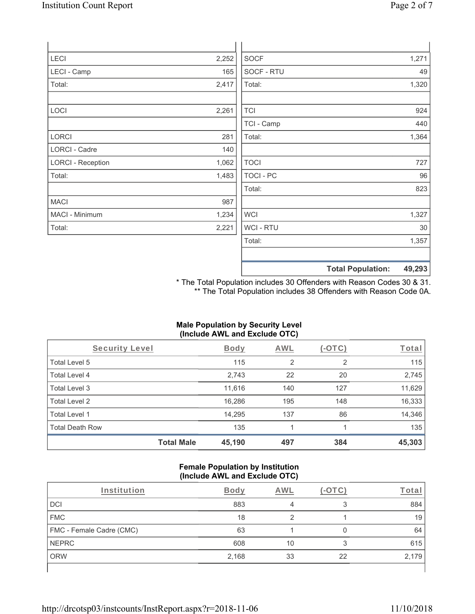| <b>LECI</b>              | 2,252 | <b>SOCF</b>      |                          | 1,271  |
|--------------------------|-------|------------------|--------------------------|--------|
| LECI - Camp              | 165   | SOCF - RTU       |                          | 49     |
| Total:                   | 2,417 | Total:           |                          | 1,320  |
|                          |       |                  |                          |        |
| LOCI                     | 2,261 | <b>TCI</b>       |                          | 924    |
|                          |       | TCI - Camp       |                          | 440    |
| <b>LORCI</b>             | 281   | Total:           |                          | 1,364  |
| LORCI - Cadre            | 140   |                  |                          |        |
| <b>LORCI - Reception</b> | 1,062 | <b>TOCI</b>      |                          | 727    |
| Total:                   | 1,483 | <b>TOCI - PC</b> |                          | 96     |
|                          |       | Total:           |                          | 823    |
| <b>MACI</b>              | 987   |                  |                          |        |
| MACI - Minimum           | 1,234 | <b>WCI</b>       |                          | 1,327  |
| Total:                   | 2,221 | WCI - RTU        |                          | 30     |
|                          |       | Total:           |                          | 1,357  |
|                          |       |                  | <b>Total Population:</b> | 49,293 |

\* The Total Population includes 30 Offenders with Reason Codes 30 & 31. \*\* The Total Population includes 38 Offenders with Reason Code 0A.

### **Male Population by Security Level (Include AWL and Exclude OTC)**

| Security Level         |                   | <b>Body</b> | <b>AWL</b> | $(-OTC)$ | Total  |
|------------------------|-------------------|-------------|------------|----------|--------|
| Total Level 5          |                   | 115         | 2          | 2        | 115    |
| Total Level 4          |                   | 2,743       | 22         | 20       | 2,745  |
| Total Level 3          |                   | 11,616      | 140        | 127      | 11,629 |
| Total Level 2          |                   | 16,286      | 195        | 148      | 16,333 |
| Total Level 1          |                   | 14,295      | 137        | 86       | 14,346 |
| <b>Total Death Row</b> |                   | 135         |            |          | 135    |
|                        | <b>Total Male</b> | 45,190      | 497        | 384      | 45,303 |

#### **Female Population by Institution (Include AWL and Exclude OTC)**

| Institution              | Bodv  | AWL |    | Гоtа  |
|--------------------------|-------|-----|----|-------|
| <b>DCI</b>               | 883   |     | ຊ  | 884   |
| <b>FMC</b>               | 18    | C   |    | 19    |
| FMC - Female Cadre (CMC) | 63    |     |    | 64    |
| <b>NEPRC</b>             | 608   | 10  | 3  | 615   |
| <b>ORW</b>               | 2,168 | 33  | 22 | 2,179 |
|                          |       |     |    |       |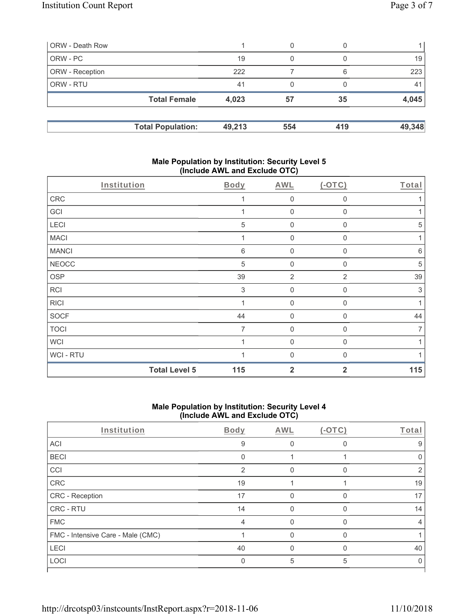| ORW - Death Row        |                          |        | 0   |     |        |
|------------------------|--------------------------|--------|-----|-----|--------|
| ORW-PC                 |                          | 19     | 0   |     | 19     |
| <b>ORW</b> - Reception |                          | 222    |     | 6   | 223    |
| <b>ORW - RTU</b>       |                          | 41     | 0   |     | 41     |
|                        | <b>Total Female</b>      | 4,023  | 57  | 35  | 4,045  |
|                        | <b>Total Population:</b> | 49,213 | 554 | 419 | 49,348 |

### **Male Population by Institution: Security Level 5 (Include AWL and Exclude OTC)**

| <b>Total Level 5</b> | 115        | $\overline{2}$      | $\overline{2}$ | 115        |
|----------------------|------------|---------------------|----------------|------------|
| WCI-RTU              |            | $\Omega$            | $\Omega$       |            |
| <b>WCI</b>           |            | $\mathbf 0$         | $\Omega$       |            |
| <b>TOCI</b>          | 7          | $\mathsf{O}\xspace$ | 0              | 7          |
| <b>SOCF</b>          | 44         | $\mathsf{O}\xspace$ | $\mathbf 0$    | 44         |
| <b>RICI</b>          |            | $\mathbf 0$         | 0              |            |
| <b>RCI</b>           | 3          | $\mathbf 0$         | $\mathbf 0$    | 3          |
| <b>OSP</b>           | 39         | $\overline{2}$      | 2              | 39         |
| <b>NEOCC</b>         | $\sqrt{5}$ | $\mathbf 0$         | $\mathbf{0}$   | 5          |
| <b>MANCI</b>         | $6\,$      | $\mathsf{O}\xspace$ | 0              | $6\,$      |
| <b>MACI</b>          |            | $\mathbf 0$         | 0              | 1          |
| LECI                 | $\sqrt{5}$ | $\mathbf 0$         | 0              | $\sqrt{5}$ |
| GCI                  |            | $\mathbf 0$         | 0              |            |
| CRC                  |            | $\mathbf 0$         | $\mathbf 0$    |            |
| Institution          | Body       | AWL                 | $(-OTC)$       | Total      |

### **Male Population by Institution: Security Level 4 (Include AWL and Exclude OTC)**

| Institution                       | Body | AWL | $(-OTC)$ | Total |
|-----------------------------------|------|-----|----------|-------|
| ACI                               | 9    |     |          | 9     |
| <b>BECI</b>                       | 0    |     |          |       |
| CCI                               | 2    | 0   | 0        | 2     |
| CRC                               | 19   |     |          | 19    |
| CRC - Reception                   | 17   |     | O        | 17    |
| CRC - RTU                         | 14   |     |          | 14    |
| <b>FMC</b>                        | 4    |     |          | 4     |
| FMC - Intensive Care - Male (CMC) |      | U   | $\Omega$ |       |
| LECI                              | 40   |     | O        | 40    |
| LOCI                              | 0    | 5   | 5        |       |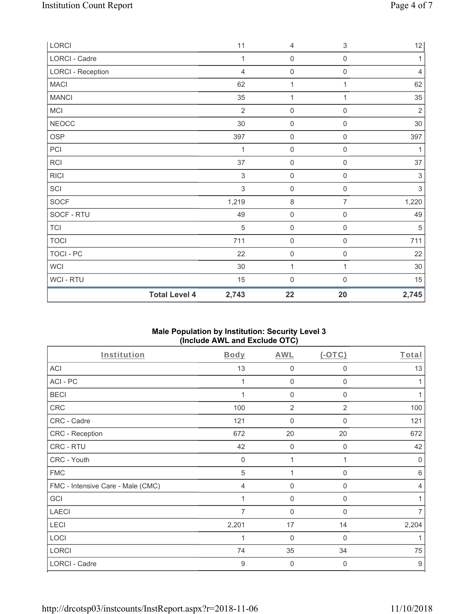| LORCI             |                      | 11             | $\overline{4}$      | $\,$ 3 $\,$         | $12 \overline{)}$         |
|-------------------|----------------------|----------------|---------------------|---------------------|---------------------------|
| LORCI - Cadre     |                      | 1              | $\mathsf{O}\xspace$ | $\mathsf{O}\xspace$ | 1                         |
| LORCI - Reception |                      | $\overline{4}$ | $\mathsf 0$         | $\mathsf 0$         | $\overline{4}$            |
| <b>MACI</b>       |                      | 62             | $\mathbf{1}$        | 1                   | 62                        |
| <b>MANCI</b>      |                      | 35             | 1                   | 1                   | 35                        |
| MCI               |                      | $\overline{2}$ | $\mathbf 0$         | $\mathsf{O}\xspace$ | $\sqrt{2}$                |
| <b>NEOCC</b>      |                      | $30\,$         | $\mathsf{O}\xspace$ | $\mathsf{O}\xspace$ | $30\,$                    |
| <b>OSP</b>        |                      | 397            | $\mathsf{O}\xspace$ | $\mathsf{O}\xspace$ | 397                       |
| PCI               |                      | 1              | $\mathbf 0$         | $\mathsf{O}\xspace$ | 1                         |
| <b>RCI</b>        |                      | 37             | $\mathsf 0$         | $\mathsf{O}\xspace$ | 37                        |
| <b>RICI</b>       |                      | $\sqrt{3}$     | $\mathbf 0$         | $\mathsf{O}\xspace$ | $\ensuremath{\mathsf{3}}$ |
| SCI               |                      | $\sqrt{3}$     | $\mathsf{O}\xspace$ | $\mathsf{O}\xspace$ | $\sqrt{3}$                |
| SOCF              |                      | 1,219          | $\,8\,$             | $\overline{7}$      | 1,220                     |
| SOCF - RTU        |                      | 49             | $\mathsf{O}\xspace$ | $\,0\,$             | 49                        |
| <b>TCI</b>        |                      | 5              | $\mathsf{O}\xspace$ | 0                   | 5                         |
| <b>TOCI</b>       |                      | 711            | $\mathsf 0$         | $\mathbf 0$         | 711                       |
| <b>TOCI - PC</b>  |                      | 22             | $\mathsf{O}\xspace$ | $\mathsf{O}\xspace$ | 22                        |
| <b>WCI</b>        |                      | $30\,$         | 1                   | 1                   | 30                        |
| WCI-RTU           |                      | 15             | $\mathbf 0$         | $\mathsf{O}\xspace$ | 15                        |
|                   | <b>Total Level 4</b> | 2,743          | 22                  | 20                  | 2,745                     |

### **Male Population by Institution: Security Level 3 (Include AWL and Exclude OTC)**

| Institution                       | <b>Body</b>    | <b>AWL</b>     | $(-OTC)$       | Total            |
|-----------------------------------|----------------|----------------|----------------|------------------|
| <b>ACI</b>                        | 13             | 0              | 0              | 13               |
| ACI-PC                            |                | $\mathbf 0$    | 0              |                  |
| <b>BECI</b>                       |                | $\mathbf 0$    | $\mathbf 0$    |                  |
| CRC                               | 100            | $\overline{2}$ | $\overline{2}$ | 100              |
| CRC - Cadre                       | 121            | $\mathbf{0}$   | $\Omega$       | 121              |
| CRC - Reception                   | 672            | $20\,$         | 20             | 672              |
| CRC - RTU                         | 42             | 0              | 0              | 42               |
| CRC - Youth                       | $\mathbf 0$    | 1              |                | $\mathbf 0$      |
| <b>FMC</b>                        | 5              | 1              | $\mathbf 0$    | 6                |
| FMC - Intensive Care - Male (CMC) | $\overline{4}$ | $\mathbf 0$    | $\mathbf 0$    | $\overline{4}$   |
| GCI                               |                | 0              | 0              |                  |
| <b>LAECI</b>                      | 7              | $\mathbf 0$    | 0              | $\overline{7}$   |
| LECI                              | 2,201          | 17             | 14             | 2,204            |
| LOCI                              | 1              | $\overline{0}$ | $\mathbf 0$    | 1                |
| <b>LORCI</b>                      | 74             | 35             | 34             | 75               |
| LORCI - Cadre                     | $\overline{9}$ | $\mathbf 0$    | $\overline{0}$ | $\boldsymbol{9}$ |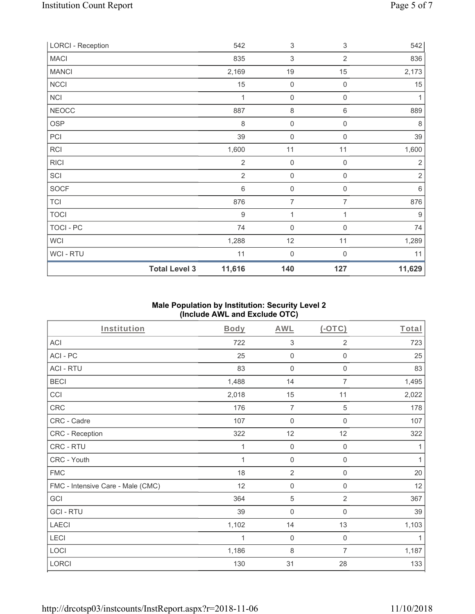| <b>LORCI - Reception</b> |                      | 542              | 3                   | 3                   | 542            |
|--------------------------|----------------------|------------------|---------------------|---------------------|----------------|
| <b>MACI</b>              |                      | 835              | 3                   | $\overline{2}$      | 836            |
| <b>MANCI</b>             |                      | 2,169            | $19$                | 15                  | 2,173          |
| <b>NCCI</b>              |                      | 15               | $\mathsf{O}\xspace$ | $\boldsymbol{0}$    | 15             |
| NCI                      |                      | 1                | $\mathsf{O}\xspace$ | $\mathsf{O}\xspace$ | 1              |
| <b>NEOCC</b>             |                      | 887              | $\,8\,$             | 6                   | 889            |
| <b>OSP</b>               |                      | 8                | $\mathsf{O}\xspace$ | $\boldsymbol{0}$    | 8              |
| PCI                      |                      | 39               | $\boldsymbol{0}$    | 0                   | 39             |
| <b>RCI</b>               |                      | 1,600            | 11                  | 11                  | 1,600          |
| <b>RICI</b>              |                      | 2                | $\mathsf{O}\xspace$ | $\boldsymbol{0}$    | $\overline{2}$ |
| SCI                      |                      | $\overline{2}$   | $\boldsymbol{0}$    | $\boldsymbol{0}$    | $\overline{2}$ |
| SOCF                     |                      | 6                | $\mathsf{O}\xspace$ | $\mathbf 0$         | 6              |
| <b>TCI</b>               |                      | 876              | $\overline{7}$      | 7                   | 876            |
| <b>TOCI</b>              |                      | $\boldsymbol{9}$ | $\mathbf{1}$        | 1                   | 9              |
| TOCI - PC                |                      | 74               | $\boldsymbol{0}$    | 0                   | 74             |
| <b>WCI</b>               |                      | 1,288            | 12                  | 11                  | 1,289          |
| WCI - RTU                |                      | 11               | $\mathbf 0$         | 0                   | 11             |
|                          | <b>Total Level 3</b> | 11,616           | 140                 | 127                 | 11,629         |

## **Male Population by Institution: Security Level 2 (Include AWL and Exclude OTC)**

| Institution                       | <b>Body</b> | <b>AWL</b>          | $($ -OTC $)$        | Total        |
|-----------------------------------|-------------|---------------------|---------------------|--------------|
| <b>ACI</b>                        | 722         | 3                   | 2                   | 723          |
| ACI-PC                            | 25          | 0                   | $\boldsymbol{0}$    | 25           |
| <b>ACI - RTU</b>                  | 83          | $\boldsymbol{0}$    | $\boldsymbol{0}$    | 83           |
| <b>BECI</b>                       | 1,488       | 14                  | $\overline{7}$      | 1,495        |
| CCI                               | 2,018       | 15                  | 11                  | 2,022        |
| CRC                               | 176         | $\overline{7}$      | $\sqrt{5}$          | 178          |
| CRC - Cadre                       | 107         | $\mathbf 0$         | $\boldsymbol{0}$    | 107          |
| CRC - Reception                   | 322         | 12                  | 12                  | 322          |
| CRC - RTU                         | 1           | $\mathsf{O}\xspace$ | $\mathsf{O}\xspace$ | 1            |
| CRC - Youth                       | 1           | $\mathbf 0$         | $\boldsymbol{0}$    | $\mathbf{1}$ |
| <b>FMC</b>                        | 18          | $\sqrt{2}$          | $\boldsymbol{0}$    | 20           |
| FMC - Intensive Care - Male (CMC) | 12          | $\mathsf{O}\xspace$ | $\boldsymbol{0}$    | 12           |
| GCI                               | 364         | 5                   | $\overline{2}$      | 367          |
| <b>GCI-RTU</b>                    | 39          | $\mathbf 0$         | $\boldsymbol{0}$    | 39           |
| <b>LAECI</b>                      | 1,102       | 14                  | 13                  | 1,103        |
| LECI                              | 1           | $\mathbf 0$         | $\mathsf{O}\xspace$ | 1            |
| LOCI                              | 1,186       | 8                   | 7                   | 1,187        |
| <b>LORCI</b>                      | 130         | 31                  | 28                  | 133          |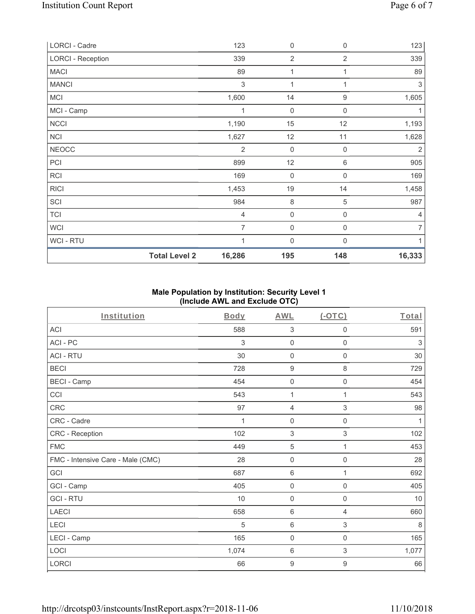|                          | <b>Total Level 2</b> | 16,286         | 195                 | 148              | 16,333         |
|--------------------------|----------------------|----------------|---------------------|------------------|----------------|
| WCI - RTU                |                      | 1              | $\mathbf 0$         | $\Omega$         | 1              |
| <b>WCI</b>               |                      | $\overline{7}$ | $\mathbf 0$         | 0                | $\overline{7}$ |
| <b>TCI</b>               |                      | $\overline{4}$ | $\mathsf{O}\xspace$ | 0                | $\overline{4}$ |
| SCI                      |                      | 984            | 8                   | 5                | 987            |
| <b>RICI</b>              |                      | 1,453          | $19$                | 14               | 1,458          |
| RCI                      |                      | 169            | $\mathsf{O}\xspace$ | 0                | 169            |
| PCI                      |                      | 899            | 12                  | 6                | 905            |
| <b>NEOCC</b>             |                      | $\overline{2}$ | $\mathsf{O}\xspace$ | $\boldsymbol{0}$ | 2              |
| <b>NCI</b>               |                      | 1,627          | 12                  | 11               | 1,628          |
| <b>NCCI</b>              |                      | 1,190          | 15                  | 12               | 1,193          |
| MCI - Camp               |                      | 1              | $\mathsf{O}\xspace$ | $\mathbf 0$      | 1              |
| <b>MCI</b>               |                      | 1,600          | 14                  | $\boldsymbol{9}$ | 1,605          |
| <b>MANCI</b>             |                      | 3              | 1                   | 1                | 3              |
| <b>MACI</b>              |                      | 89             | 1                   | 1                | 89             |
| <b>LORCI - Reception</b> |                      | 339            | $\overline{2}$      | $\overline{2}$   | 339            |
| LORCI - Cadre            |                      | 123            | $\mathbf 0$         | 0                | 123            |

## **Male Population by Institution: Security Level 1 (Include AWL and Exclude OTC)**

| Institution                       | <b>Body</b> | <b>AWL</b>          | (OTC)               | Total |
|-----------------------------------|-------------|---------------------|---------------------|-------|
| <b>ACI</b>                        | 588         | $\sqrt{3}$          | 0                   | 591   |
| ACI-PC                            | 3           | $\mathbf 0$         | $\mathbf 0$         | 3     |
| <b>ACI - RTU</b>                  | $30\,$      | $\mathsf{O}\xspace$ | $\mathsf{O}\xspace$ | 30    |
| <b>BECI</b>                       | 728         | $\boldsymbol{9}$    | 8                   | 729   |
| <b>BECI - Camp</b>                | 454         | 0                   | $\mathbf 0$         | 454   |
| CCI                               | 543         | 1                   | 1                   | 543   |
| CRC                               | 97          | 4                   | 3                   | 98    |
| CRC - Cadre                       | 1           | $\mathsf{O}\xspace$ | $\mathbf 0$         | 1     |
| CRC - Reception                   | 102         | $\mathfrak{S}$      | 3                   | 102   |
| <b>FMC</b>                        | 449         | 5                   | 1                   | 453   |
| FMC - Intensive Care - Male (CMC) | 28          | $\mathsf{O}\xspace$ | 0                   | 28    |
| GCI                               | 687         | $\,6\,$             | 1                   | 692   |
| GCI - Camp                        | 405         | 0                   | 0                   | 405   |
| <b>GCI-RTU</b>                    | 10          | $\mathsf{O}\xspace$ | $\mathbf 0$         | 10    |
| <b>LAECI</b>                      | 658         | 6                   | $\overline{4}$      | 660   |
| LECI                              | 5           | $\,6\,$             | 3                   | 8     |
| LECI - Camp                       | 165         | $\mathsf{O}\xspace$ | $\mathsf 0$         | 165   |
| LOCI                              | 1,074       | $\,6\,$             | 3                   | 1,077 |
| LORCI                             | 66          | $\boldsymbol{9}$    | 9                   | 66    |